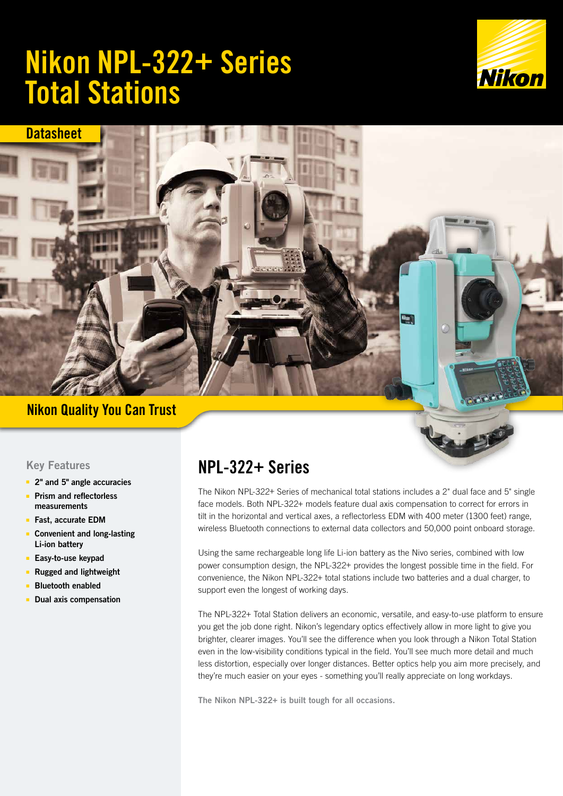# Nikon NPL-322+ Series Total Stations





## Nikon Quality You Can Trust

## Key Features

- 2" and 5" angle accuracies
- Prism and reflectorless measurements
- Fast, accurate EDM
- Convenient and long-lasting Li-ion battery
- Easy-to-use keypad
- Rugged and lightweight
- Bluetooth enabled
- **Dual axis compensation**

## NPL-322+ Series

The Nikon NPL-322+ Series of mechanical total stations includes a 2" dual face and 5" single face models. Both NPL-322+ models feature dual axis compensation to correct for errors in tilt in the horizontal and vertical axes, a reflectorless EDM with 400 meter (1300 feet) range, wireless Bluetooth connections to external data collectors and 50,000 point onboard storage.

Using the same rechargeable long life Li-ion battery as the Nivo series, combined with low power consumption design, the NPL-322+ provides the longest possible time in the field. For convenience, the Nikon NPL-322+ total stations include two batteries and a dual charger, to support even the longest of working days.

The NPL-322+ Total Station delivers an economic, versatile, and easy-to-use platform to ensure you get the job done right. Nikon's legendary optics effectively allow in more light to give you brighter, clearer images. You'll see the difference when you look through a Nikon Total Station even in the low-visibility conditions typical in the field. You'll see much more detail and much less distortion, especially over longer distances. Better optics help you aim more precisely, and they're much easier on your eyes - something you'll really appreciate on long workdays.

The Nikon NPL-322+ is built tough for all occasions.